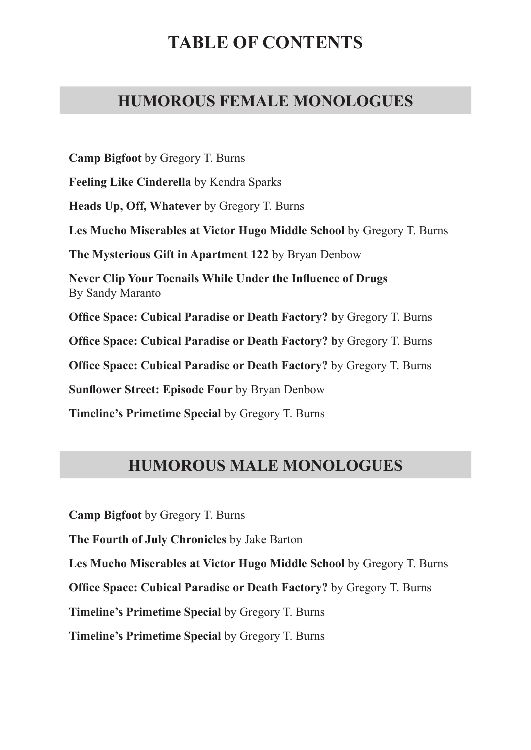# **TABLE OF CONTENTS**

#### **HUMOROUS FEMALE MONOLOGUES**

**Camp Bigfoot** by Gregory T. Burns **Feeling Like Cinderella** by Kendra Sparks **Heads Up, Off, Whatever** by Gregory T. Burns **Les Mucho Miserables at Victor Hugo Middle School** by Gregory T. Burns **The Mysterious Gift in Apartment 122** by Bryan Denbow **Never Clip Your Toenails While Under the Influence of Drugs**  By Sandy Maranto **Office Space: Cubical Paradise or Death Factory? b**y Gregory T. Burns **Office Space: Cubical Paradise or Death Factory? b**y Gregory T. Burns **Office Space: Cubical Paradise or Death Factory?** by Gregory T. Burns **Sunflower Street: Episode Four** by Bryan Denbow **Timeline's Primetime Special** by Gregory T. Burns

### **HUMOROUS MALE MONOLOGUES**

**Camp Bigfoot** by Gregory T. Burns

**The Fourth of July Chronicles** by Jake Barton

**Les Mucho Miserables at Victor Hugo Middle School** by Gregory T. Burns

**Office Space: Cubical Paradise or Death Factory?** by Gregory T. Burns

**Timeline's Primetime Special** by Gregory T. Burns

**Timeline's Primetime Special** by Gregory T. Burns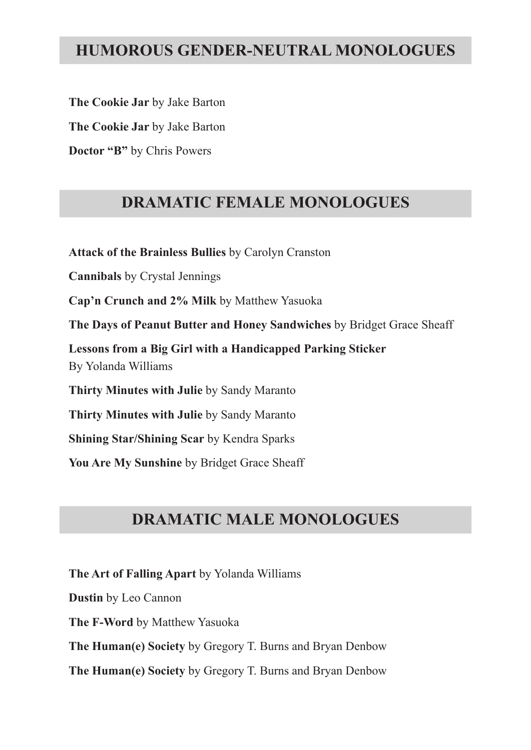### **HUMOROUS GENDER-NEUTRAL MONOLOGUES**

**The Cookie Jar** by Jake Barton

**The Cookie Jar** by Jake Barton

**Doctor "B"** by Chris Powers

## **DRAMATIC FEMALE MONOLOGUES**

**Attack of the Brainless Bullies** by Carolyn Cranston

**Cannibals** by Crystal Jennings

**Cap'n Crunch and 2% Milk** by Matthew Yasuoka

**The Days of Peanut Butter and Honey Sandwiches** by Bridget Grace Sheaff

**Lessons from a Big Girl with a Handicapped Parking Sticker** By Yolanda Williams

**Thirty Minutes with Julie** by Sandy Maranto

**Thirty Minutes with Julie** by Sandy Maranto

**Shining Star/Shining Scar** by Kendra Sparks

**You Are My Sunshine** by Bridget Grace Sheaff

## **DRAMATIC MALE MONOLOGUES**

**The Art of Falling Apart** by Yolanda Williams **Dustin** by Leo Cannon **The F-Word** by Matthew Yasuoka **The Human(e) Society** by Gregory T. Burns and Bryan Denbow **The Human(e) Society** by Gregory T. Burns and Bryan Denbow